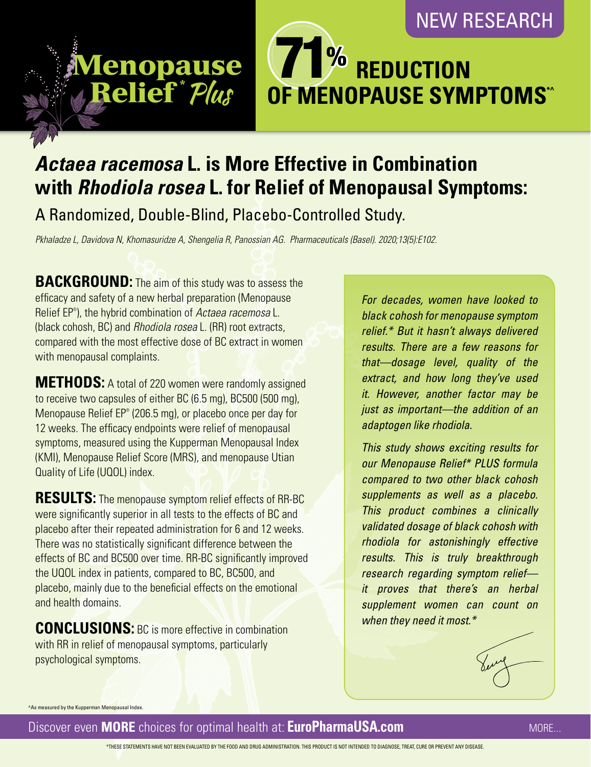## NEW RESEARCH



# *Actaea racemosa* **L. is More Effective in Combination with** *Rhodiola rosea* **L. for Relief of Menopausal Symptoms:**

A Randomized, Double-Blind, Placebo-Controlled Study.

*Pkhaladze L, Davidova N, Khomasuridze A, Shengelia R, Panossian AG. Pharmaceuticals (Basel). 2020;13(5):E102.*

**BACKGROUND:** The aim of this study was to assess the efficacy and safety of a new herbal preparation (Menopause Relief EP® ), the hybrid combination of *Actaea racemosa* L. (black cohosh, BC) and *Rhodiola rosea* L. (RR) root extracts, compared with the most effective dose of BC extract in women with menopausal complaints.

Menopause Menopause

Relief \* Relief \*

**METHODS:** A total of 220 women were randomly assigned to receive two capsules of either BC (6.5 mg), BC500 (500 mg), Menopause Relief EP® (206.5 mg), or placebo once per day for 12 weeks. The efficacy endpoints were relief of menopausal symptoms, measured using the Kupperman Menopausal Index (KMI), Menopause Relief Score (MRS), and menopause Utian Quality of Life (UQOL) index.

**RESULTS:** The menopause symptom relief effects of RR-BC were significantly superior in all tests to the effects of BC and placebo after their repeated administration for 6 and 12 weeks. There was no statistically significant difference between the effects of BC and BC500 over time. RR-BC significantly improved the UQOL index in patients, compared to BC, BC500, and placebo, mainly due to the beneficial effects on the emotional and health domains.

**CONCLUSIONS:** BC is more effective in combination with RR in relief of menopausal symptoms, particularly psychological symptoms.

*For decades, women have looked to black cohosh for menopause symptom relief.\* But it hasn't always delivered results. There are a few reasons for that—dosage level, quality of the extract, and how long they've used it. However, another factor may be just as important—the addition of an adaptogen like rhodiola.* 

*This study shows exciting results for our Menopause Relief\* PLUS formula compared to two other black cohosh supplements as well as a placebo. This product combines a clinically validated dosage of black cohosh with rhodiola for astonishingly effective results. This is truly breakthrough research regarding symptom relief it proves that there's an herbal supplement women can count on when they need it most.\**

^As measured by the Kupperman Menopausal Index.

Discover even **MORE** choices for optimal health at: **EuroPharmaUSA.com**